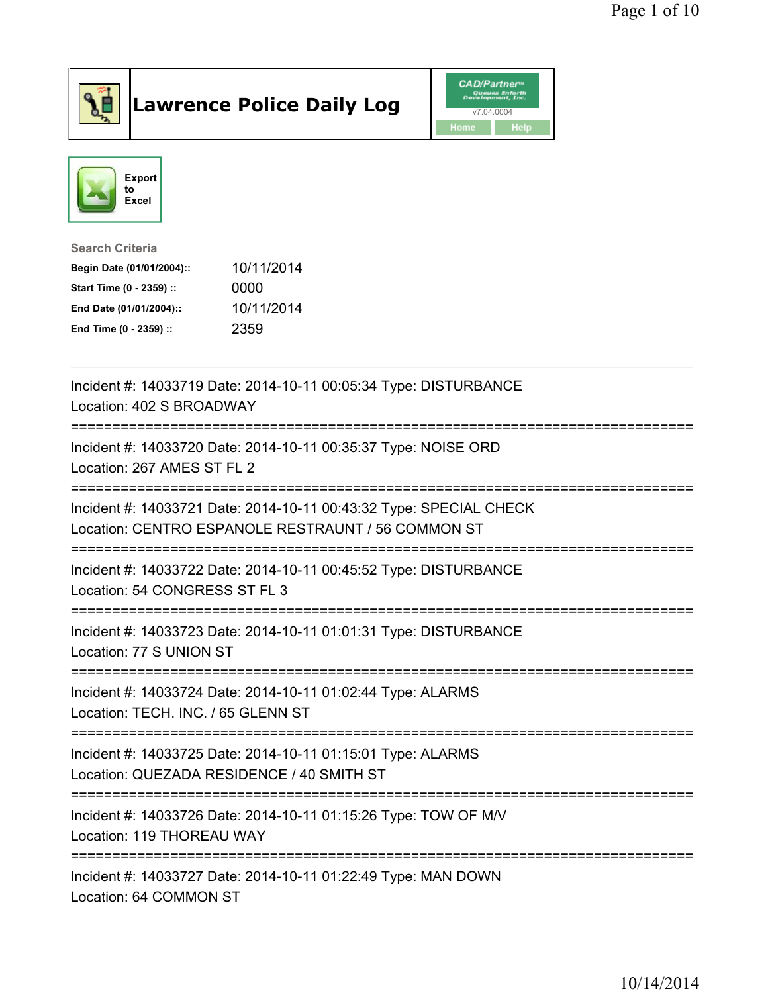

## Lawrence Police Daily Log **Daniel CAD/Partner**





## Search Criteria Begin Date (01/01/2004):: 10/11/2014 Start Time (0 - 2359) :: 0000 End Date (01/01/2004):: 10/11/2014 End Time (0 - 2359) :: 2359

| Incident #: 14033719 Date: 2014-10-11 00:05:34 Type: DISTURBANCE<br>Location: 402 S BROADWAY                                   |
|--------------------------------------------------------------------------------------------------------------------------------|
| Incident #: 14033720 Date: 2014-10-11 00:35:37 Type: NOISE ORD<br>Location: 267 AMES ST FL 2                                   |
| Incident #: 14033721 Date: 2014-10-11 00:43:32 Type: SPECIAL CHECK<br>Location: CENTRO ESPANOLE RESTRAUNT / 56 COMMON ST       |
| Incident #: 14033722 Date: 2014-10-11 00:45:52 Type: DISTURBANCE<br>Location: 54 CONGRESS ST FL 3                              |
| Incident #: 14033723 Date: 2014-10-11 01:01:31 Type: DISTURBANCE<br>Location: 77 S UNION ST<br>---------------------           |
| Incident #: 14033724 Date: 2014-10-11 01:02:44 Type: ALARMS<br>Location: TECH. INC. / 65 GLENN ST<br>------------------------- |
| Incident #: 14033725 Date: 2014-10-11 01:15:01 Type: ALARMS<br>Location: QUEZADA RESIDENCE / 40 SMITH ST                       |
| Incident #: 14033726 Date: 2014-10-11 01:15:26 Type: TOW OF M/V<br>Location: 119 THOREAU WAY                                   |
| Incident #: 14033727 Date: 2014-10-11 01:22:49 Type: MAN DOWN<br>Location: 64 COMMON ST                                        |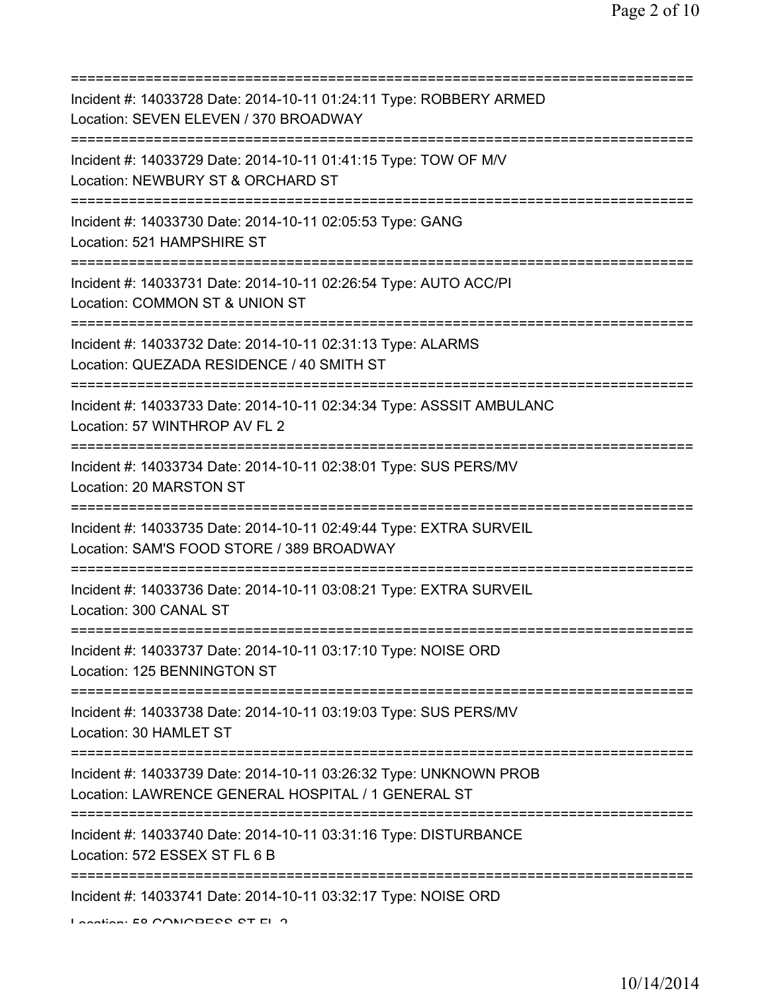| Incident #: 14033728 Date: 2014-10-11 01:24:11 Type: ROBBERY ARMED<br>Location: SEVEN ELEVEN / 370 BROADWAY<br>:=========================         |
|---------------------------------------------------------------------------------------------------------------------------------------------------|
| Incident #: 14033729 Date: 2014-10-11 01:41:15 Type: TOW OF M/V<br>Location: NEWBURY ST & ORCHARD ST                                              |
| Incident #: 14033730 Date: 2014-10-11 02:05:53 Type: GANG<br>Location: 521 HAMPSHIRE ST<br>=====================                                  |
| Incident #: 14033731 Date: 2014-10-11 02:26:54 Type: AUTO ACC/PI<br>Location: COMMON ST & UNION ST                                                |
| Incident #: 14033732 Date: 2014-10-11 02:31:13 Type: ALARMS<br>Location: QUEZADA RESIDENCE / 40 SMITH ST<br>.------------------------------       |
| Incident #: 14033733 Date: 2014-10-11 02:34:34 Type: ASSSIT AMBULANC<br>Location: 57 WINTHROP AV FL 2                                             |
| Incident #: 14033734 Date: 2014-10-11 02:38:01 Type: SUS PERS/MV<br>Location: 20 MARSTON ST                                                       |
| Incident #: 14033735 Date: 2014-10-11 02:49:44 Type: EXTRA SURVEIL<br>Location: SAM'S FOOD STORE / 389 BROADWAY                                   |
| Incident #: 14033736 Date: 2014-10-11 03:08:21 Type: EXTRA SURVEIL<br>Location: 300 CANAL ST                                                      |
| Incident #: 14033737 Date: 2014-10-11 03:17:10 Type: NOISE ORD<br>Location: 125 BENNINGTON ST                                                     |
| Incident #: 14033738 Date: 2014-10-11 03:19:03 Type: SUS PERS/MV<br>Location: 30 HAMLET ST                                                        |
| :=====================<br>Incident #: 14033739 Date: 2014-10-11 03:26:32 Type: UNKNOWN PROB<br>Location: LAWRENCE GENERAL HOSPITAL / 1 GENERAL ST |
| Incident #: 14033740 Date: 2014-10-11 03:31:16 Type: DISTURBANCE<br>Location: 572 ESSEX ST FL 6 B                                                 |
| Incident #: 14033741 Date: 2014-10-11 03:32:17 Type: NOISE ORD<br>Location: EQ CONICIDEDD OT EL O                                                 |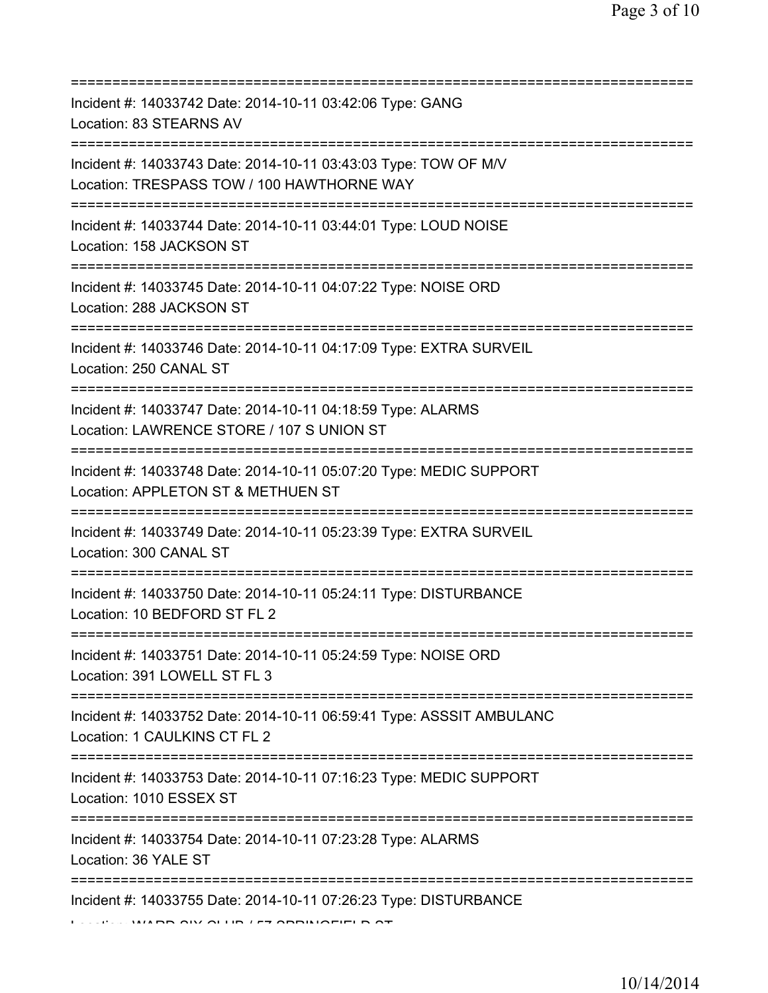| Incident #: 14033742 Date: 2014-10-11 03:42:06 Type: GANG<br>Location: 83 STEARNS AV                                                 |
|--------------------------------------------------------------------------------------------------------------------------------------|
| Incident #: 14033743 Date: 2014-10-11 03:43:03 Type: TOW OF M/V<br>Location: TRESPASS TOW / 100 HAWTHORNE WAY                        |
| Incident #: 14033744 Date: 2014-10-11 03:44:01 Type: LOUD NOISE<br>Location: 158 JACKSON ST                                          |
| Incident #: 14033745 Date: 2014-10-11 04:07:22 Type: NOISE ORD<br>Location: 288 JACKSON ST                                           |
| Incident #: 14033746 Date: 2014-10-11 04:17:09 Type: EXTRA SURVEIL<br>Location: 250 CANAL ST<br>==================================== |
| Incident #: 14033747 Date: 2014-10-11 04:18:59 Type: ALARMS<br>Location: LAWRENCE STORE / 107 S UNION ST<br>=====================    |
| Incident #: 14033748 Date: 2014-10-11 05:07:20 Type: MEDIC SUPPORT<br>Location: APPLETON ST & METHUEN ST                             |
| Incident #: 14033749 Date: 2014-10-11 05:23:39 Type: EXTRA SURVEIL<br>Location: 300 CANAL ST                                         |
| Incident #: 14033750 Date: 2014-10-11 05:24:11 Type: DISTURBANCE<br>Location: 10 BEDFORD ST FL 2                                     |
| Incident #: 14033751 Date: 2014-10-11 05:24:59 Type: NOISE ORD<br>Location: 391 LOWELL ST FL 3                                       |
| Incident #: 14033752 Date: 2014-10-11 06:59:41 Type: ASSSIT AMBULANC<br>Location: 1 CAULKINS CT FL 2                                 |
| Incident #: 14033753 Date: 2014-10-11 07:16:23 Type: MEDIC SUPPORT<br>Location: 1010 ESSEX ST                                        |
| Incident #: 14033754 Date: 2014-10-11 07:23:28 Type: ALARMS<br>Location: 36 YALE ST                                                  |
| ==============================<br>Incident #: 14033755 Date: 2014-10-11 07:26:23 Type: DISTURBANCE                                   |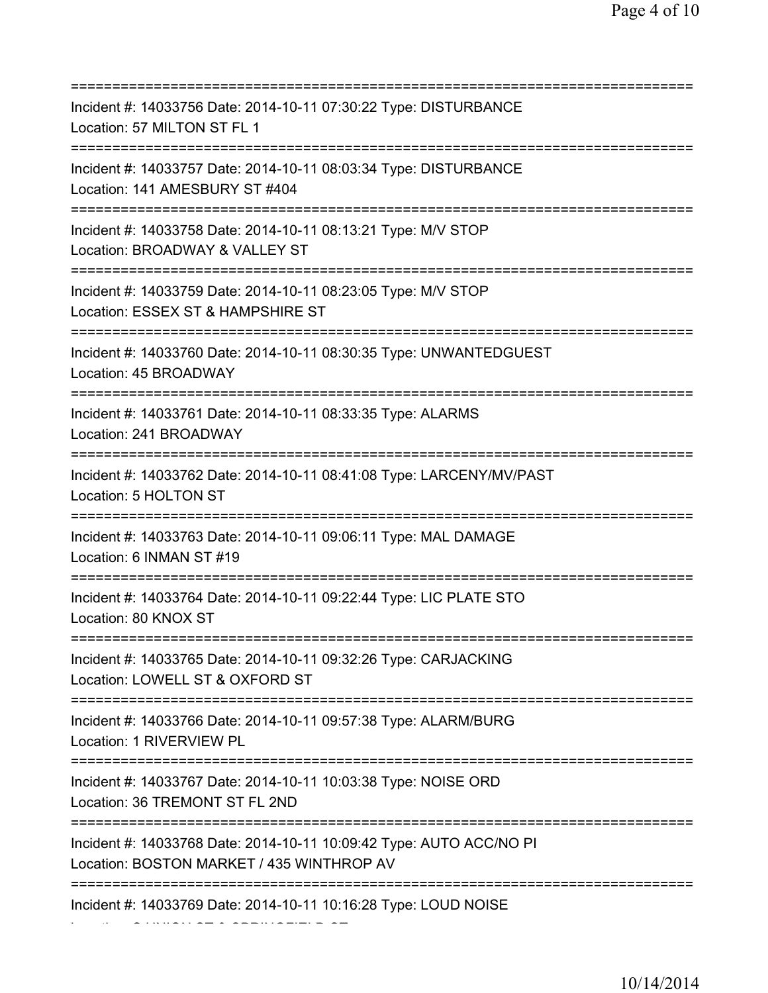| Incident #: 14033756 Date: 2014-10-11 07:30:22 Type: DISTURBANCE<br>Location: 57 MILTON ST FL 1                              |
|------------------------------------------------------------------------------------------------------------------------------|
| Incident #: 14033757 Date: 2014-10-11 08:03:34 Type: DISTURBANCE<br>Location: 141 AMESBURY ST #404                           |
| Incident #: 14033758 Date: 2014-10-11 08:13:21 Type: M/V STOP<br>Location: BROADWAY & VALLEY ST<br>========================  |
| Incident #: 14033759 Date: 2014-10-11 08:23:05 Type: M/V STOP<br>Location: ESSEX ST & HAMPSHIRE ST                           |
| Incident #: 14033760 Date: 2014-10-11 08:30:35 Type: UNWANTEDGUEST<br>Location: 45 BROADWAY                                  |
| Incident #: 14033761 Date: 2014-10-11 08:33:35 Type: ALARMS<br>Location: 241 BROADWAY<br>=================================== |
| Incident #: 14033762 Date: 2014-10-11 08:41:08 Type: LARCENY/MV/PAST<br>Location: 5 HOLTON ST                                |
| Incident #: 14033763 Date: 2014-10-11 09:06:11 Type: MAL DAMAGE<br>Location: 6 INMAN ST #19                                  |
| Incident #: 14033764 Date: 2014-10-11 09:22:44 Type: LIC PLATE STO<br>Location: 80 KNOX ST                                   |
| Incident #: 14033765 Date: 2014-10-11 09:32:26 Type: CARJACKING<br>Location: LOWELL ST & OXFORD ST                           |
| Incident #: 14033766 Date: 2014-10-11 09:57:38 Type: ALARM/BURG<br>Location: 1 RIVERVIEW PL                                  |
| Incident #: 14033767 Date: 2014-10-11 10:03:38 Type: NOISE ORD<br>Location: 36 TREMONT ST FL 2ND                             |
| Incident #: 14033768 Date: 2014-10-11 10:09:42 Type: AUTO ACC/NO PI<br>Location: BOSTON MARKET / 435 WINTHROP AV             |
| Incident #: 14033769 Date: 2014-10-11 10:16:28 Type: LOUD NOISE                                                              |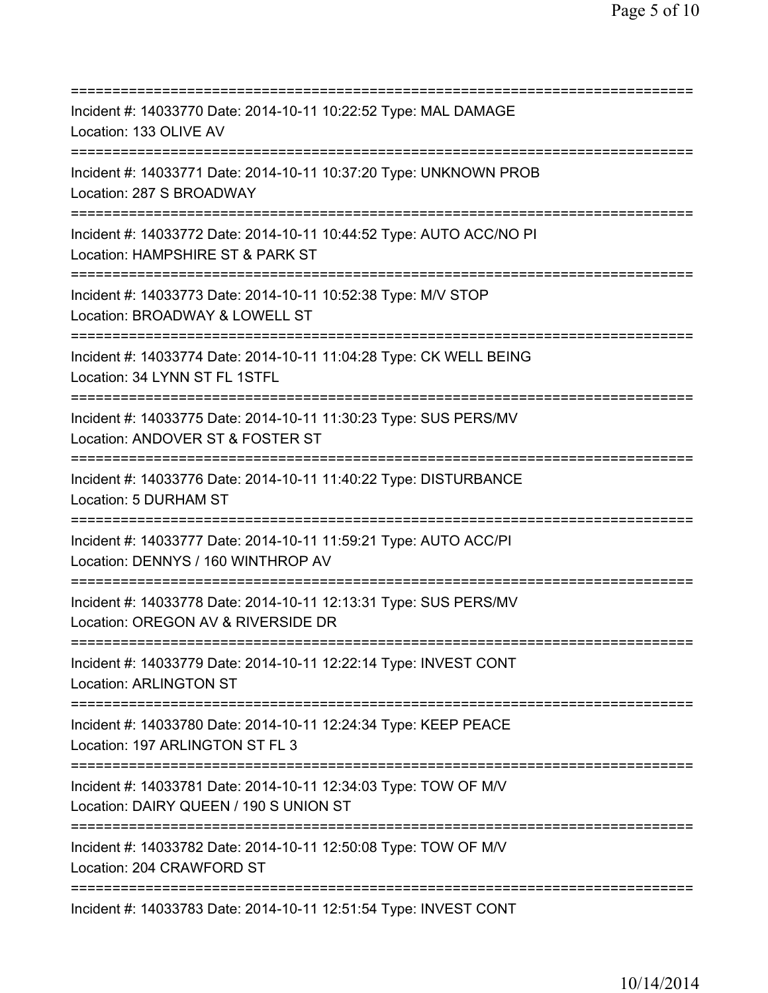| Incident #: 14033770 Date: 2014-10-11 10:22:52 Type: MAL DAMAGE<br>Location: 133 OLIVE AV                                            |
|--------------------------------------------------------------------------------------------------------------------------------------|
| Incident #: 14033771 Date: 2014-10-11 10:37:20 Type: UNKNOWN PROB<br>Location: 287 S BROADWAY                                        |
| Incident #: 14033772 Date: 2014-10-11 10:44:52 Type: AUTO ACC/NO PI<br>Location: HAMPSHIRE ST & PARK ST                              |
| Incident #: 14033773 Date: 2014-10-11 10:52:38 Type: M/V STOP<br>Location: BROADWAY & LOWELL ST                                      |
| Incident #: 14033774 Date: 2014-10-11 11:04:28 Type: CK WELL BEING<br>Location: 34 LYNN ST FL 1STFL                                  |
| Incident #: 14033775 Date: 2014-10-11 11:30:23 Type: SUS PERS/MV<br>Location: ANDOVER ST & FOSTER ST                                 |
| Incident #: 14033776 Date: 2014-10-11 11:40:22 Type: DISTURBANCE<br>Location: 5 DURHAM ST                                            |
| Incident #: 14033777 Date: 2014-10-11 11:59:21 Type: AUTO ACC/PI<br>Location: DENNYS / 160 WINTHROP AV                               |
| Incident #: 14033778 Date: 2014-10-11 12:13:31 Type: SUS PERS/MV<br>Location: OREGON AV & RIVERSIDE DR                               |
| Incident #: 14033779 Date: 2014-10-11 12:22:14 Type: INVEST CONT<br><b>Location: ARLINGTON ST</b>                                    |
| Incident #: 14033780 Date: 2014-10-11 12:24:34 Type: KEEP PEACE<br>Location: 197 ARLINGTON ST FL 3                                   |
| Incident #: 14033781 Date: 2014-10-11 12:34:03 Type: TOW OF M/V<br>Location: DAIRY QUEEN / 190 S UNION ST                            |
| ;===================================<br>Incident #: 14033782 Date: 2014-10-11 12:50:08 Type: TOW OF M/V<br>Location: 204 CRAWFORD ST |
| =====================================<br>Incident #: 14033783 Date: 2014-10-11 12:51:54 Type: INVEST CONT                            |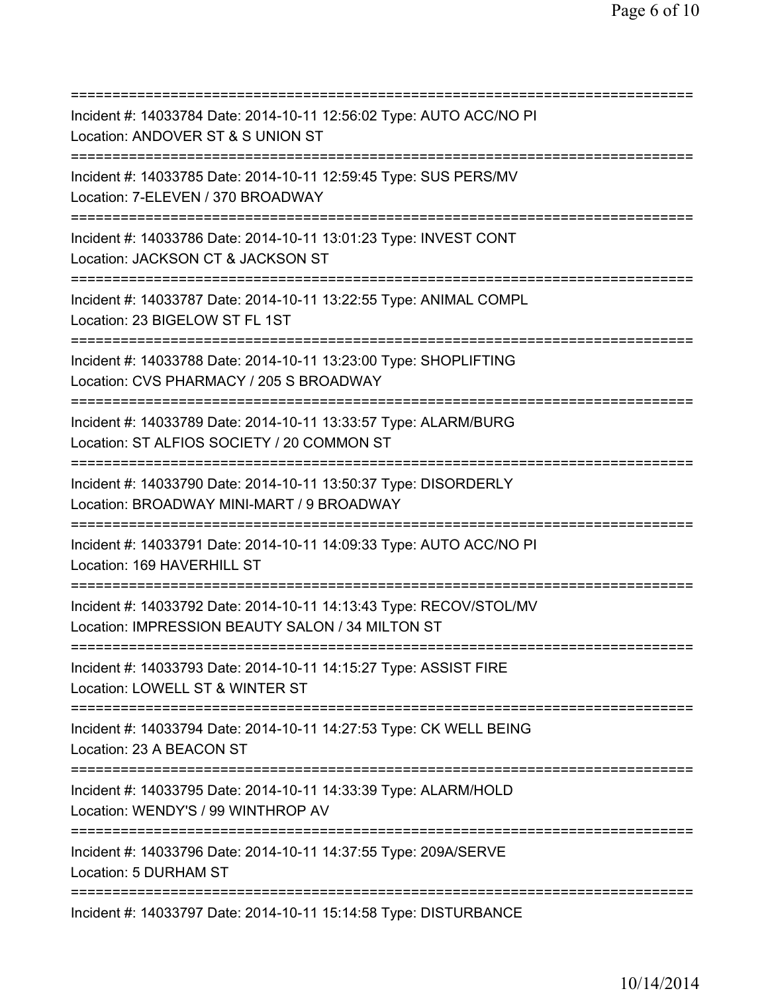| Incident #: 14033784 Date: 2014-10-11 12:56:02 Type: AUTO ACC/NO PI<br>Location: ANDOVER ST & S UNION ST                                              |
|-------------------------------------------------------------------------------------------------------------------------------------------------------|
| Incident #: 14033785 Date: 2014-10-11 12:59:45 Type: SUS PERS/MV<br>Location: 7-ELEVEN / 370 BROADWAY                                                 |
| Incident #: 14033786 Date: 2014-10-11 13:01:23 Type: INVEST CONT<br>Location: JACKSON CT & JACKSON ST<br>========================                     |
| Incident #: 14033787 Date: 2014-10-11 13:22:55 Type: ANIMAL COMPL<br>Location: 23 BIGELOW ST FL 1ST                                                   |
| Incident #: 14033788 Date: 2014-10-11 13:23:00 Type: SHOPLIFTING<br>Location: CVS PHARMACY / 205 S BROADWAY                                           |
| Incident #: 14033789 Date: 2014-10-11 13:33:57 Type: ALARM/BURG<br>Location: ST ALFIOS SOCIETY / 20 COMMON ST<br>==================================== |
| Incident #: 14033790 Date: 2014-10-11 13:50:37 Type: DISORDERLY<br>Location: BROADWAY MINI-MART / 9 BROADWAY<br>=============                         |
| Incident #: 14033791 Date: 2014-10-11 14:09:33 Type: AUTO ACC/NO PI<br>Location: 169 HAVERHILL ST                                                     |
| Incident #: 14033792 Date: 2014-10-11 14:13:43 Type: RECOV/STOL/MV<br>Location: IMPRESSION BEAUTY SALON / 34 MILTON ST                                |
| Incident #: 14033793 Date: 2014-10-11 14:15:27 Type: ASSIST FIRE<br>Location: LOWELL ST & WINTER ST                                                   |
| Incident #: 14033794 Date: 2014-10-11 14:27:53 Type: CK WELL BEING<br>Location: 23 A BEACON ST                                                        |
| Incident #: 14033795 Date: 2014-10-11 14:33:39 Type: ALARM/HOLD<br>Location: WENDY'S / 99 WINTHROP AV                                                 |
| Incident #: 14033796 Date: 2014-10-11 14:37:55 Type: 209A/SERVE<br>Location: 5 DURHAM ST                                                              |
| Incident #: 14033797 Date: 2014-10-11 15:14:58 Type: DISTURBANCE                                                                                      |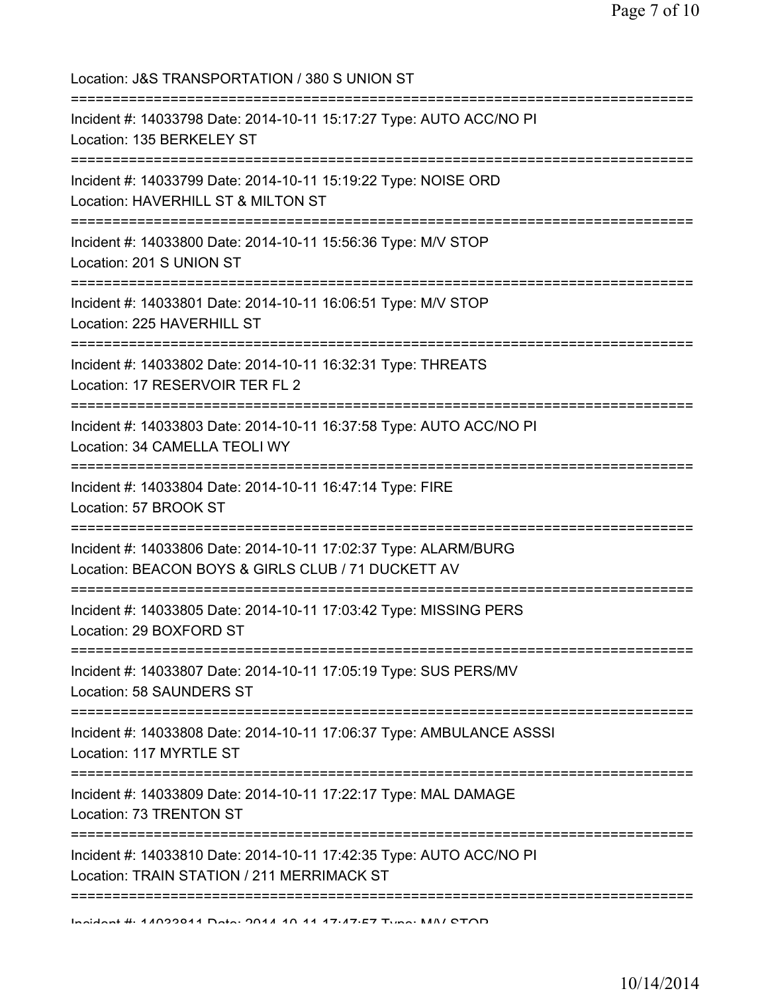Location: J&S TRANSPORTATION / 380 S UNION ST =========================================================================== Incident #: 14033798 Date: 2014-10-11 15:17:27 Type: AUTO ACC/NO PI Location: 135 BERKELEY ST =========================================================================== Incident #: 14033799 Date: 2014-10-11 15:19:22 Type: NOISE ORD Location: HAVERHILL ST & MILTON ST =========================================================================== Incident #: 14033800 Date: 2014-10-11 15:56:36 Type: M/V STOP Location: 201 S UNION ST =========================================================================== Incident #: 14033801 Date: 2014-10-11 16:06:51 Type: M/V STOP Location: 225 HAVERHILL ST =========================================================================== Incident #: 14033802 Date: 2014-10-11 16:32:31 Type: THREATS Location: 17 RESERVOIR TER FL 2 =========================================================================== Incident #: 14033803 Date: 2014-10-11 16:37:58 Type: AUTO ACC/NO PI Location: 34 CAMELLA TEOLI WY =========================================================================== Incident #: 14033804 Date: 2014-10-11 16:47:14 Type: FIRE Location: 57 BROOK ST =========================================================================== Incident #: 14033806 Date: 2014-10-11 17:02:37 Type: ALARM/BURG Location: BEACON BOYS & GIRLS CLUB / 71 DUCKETT AV =========================================================================== Incident #: 14033805 Date: 2014-10-11 17:03:42 Type: MISSING PERS Location: 29 BOXFORD ST =========================================================================== Incident #: 14033807 Date: 2014-10-11 17:05:19 Type: SUS PERS/MV Location: 58 SAUNDERS ST =========================================================================== Incident #: 14033808 Date: 2014-10-11 17:06:37 Type: AMBULANCE ASSSI Location: 117 MYRTLE ST =========================================================================== Incident #: 14033809 Date: 2014-10-11 17:22:17 Type: MAL DAMAGE Location: 73 TRENTON ST =========================================================================== Incident #: 14033810 Date: 2014-10-11 17:42:35 Type: AUTO ACC/NO PI Location: TRAIN STATION / 211 MERRIMACK ST =========================================================================== Incident #: 14033811 Date: 2014 10 11 17:47:57 Type: M/V STOP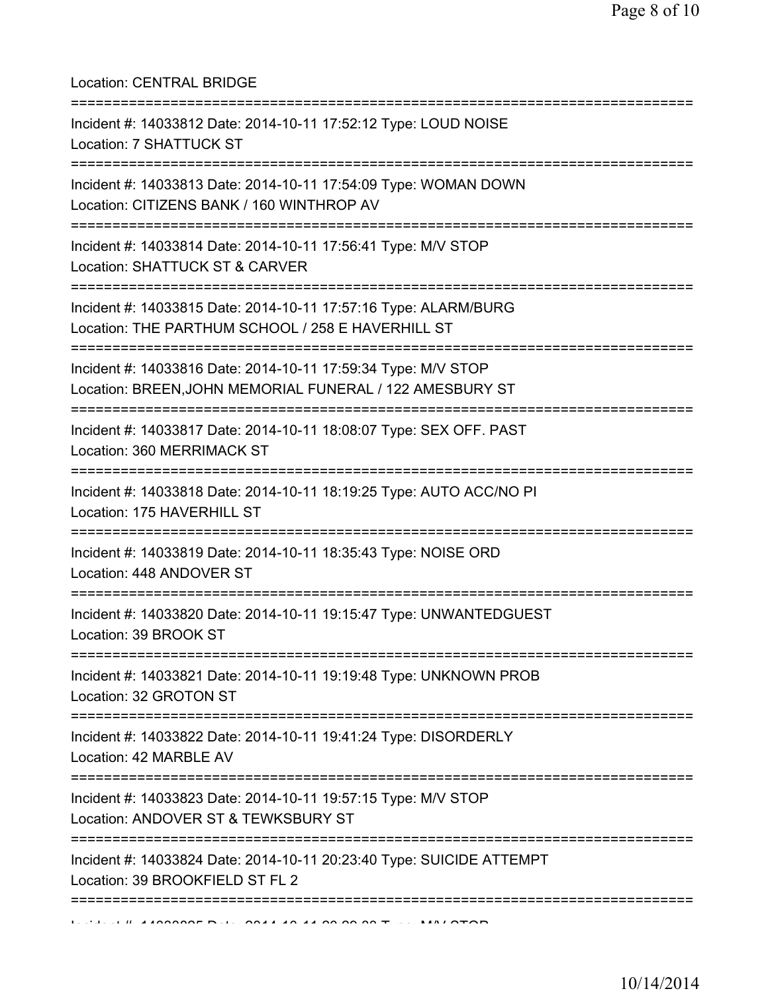Location: CENTRAL BRIDGE

| Incident #: 14033812 Date: 2014-10-11 17:52:12 Type: LOUD NOISE<br>Location: 7 SHATTUCK ST                                         |
|------------------------------------------------------------------------------------------------------------------------------------|
| Incident #: 14033813 Date: 2014-10-11 17:54:09 Type: WOMAN DOWN<br>Location: CITIZENS BANK / 160 WINTHROP AV                       |
| Incident #: 14033814 Date: 2014-10-11 17:56:41 Type: M/V STOP<br>Location: SHATTUCK ST & CARVER                                    |
| Incident #: 14033815 Date: 2014-10-11 17:57:16 Type: ALARM/BURG<br>Location: THE PARTHUM SCHOOL / 258 E HAVERHILL ST               |
| Incident #: 14033816 Date: 2014-10-11 17:59:34 Type: M/V STOP<br>Location: BREEN, JOHN MEMORIAL FUNERAL / 122 AMESBURY ST          |
| Incident #: 14033817 Date: 2014-10-11 18:08:07 Type: SEX OFF. PAST<br>Location: 360 MERRIMACK ST                                   |
| Incident #: 14033818 Date: 2014-10-11 18:19:25 Type: AUTO ACC/NO PI<br>Location: 175 HAVERHILL ST                                  |
| Incident #: 14033819 Date: 2014-10-11 18:35:43 Type: NOISE ORD<br>Location: 448 ANDOVER ST                                         |
| Incident #: 14033820 Date: 2014-10-11 19:15:47 Type: UNWANTEDGUEST<br>Location: 39 BROOK ST                                        |
| ===========<br>Incident #: 14033821 Date: 2014-10-11 19:19:48 Type: UNKNOWN PROB<br>Location: 32 GROTON ST<br>:=================== |
| Incident #: 14033822 Date: 2014-10-11 19:41:24 Type: DISORDERLY<br>Location: 42 MARBLE AV                                          |
| Incident #: 14033823 Date: 2014-10-11 19:57:15 Type: M/V STOP<br>Location: ANDOVER ST & TEWKSBURY ST                               |
| Incident #: 14033824 Date: 2014-10-11 20:23:40 Type: SUICIDE ATTEMPT<br>Location: 39 BROOKFIELD ST FL 2                            |
|                                                                                                                                    |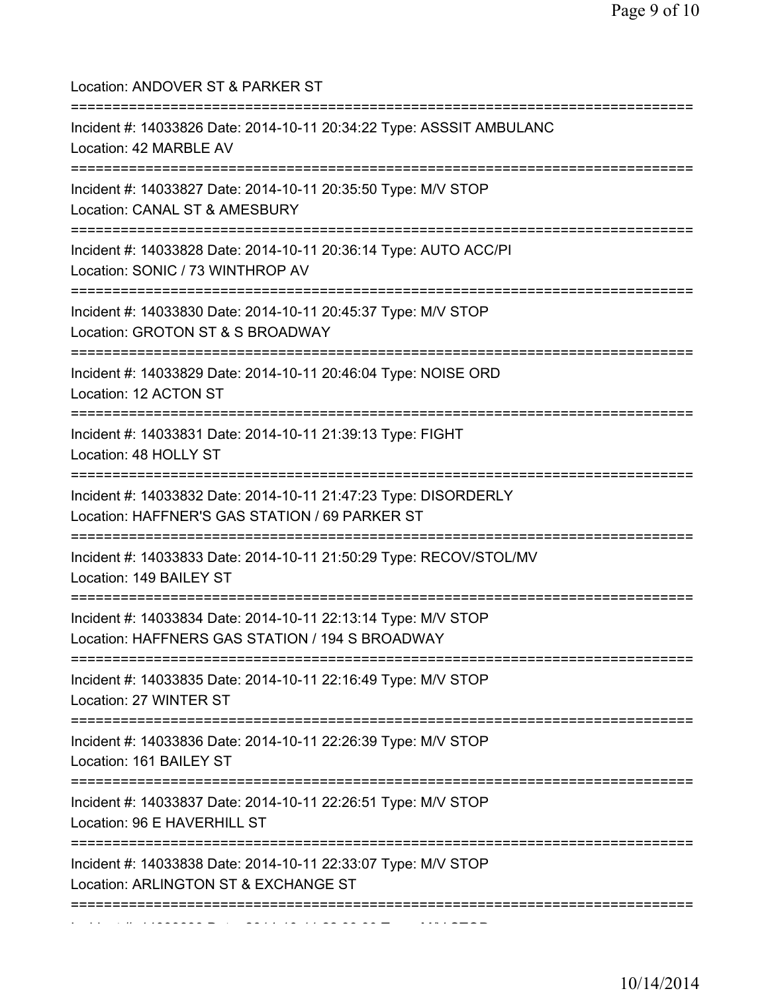| Location: ANDOVER ST & PARKER ST<br>=====================================                                                              |
|----------------------------------------------------------------------------------------------------------------------------------------|
| Incident #: 14033826 Date: 2014-10-11 20:34:22 Type: ASSSIT AMBULANC<br>Location: 42 MARBLE AV<br>==================================== |
| Incident #: 14033827 Date: 2014-10-11 20:35:50 Type: M/V STOP<br>Location: CANAL ST & AMESBURY                                         |
| Incident #: 14033828 Date: 2014-10-11 20:36:14 Type: AUTO ACC/PI<br>Location: SONIC / 73 WINTHROP AV<br>=================              |
| =============<br>Incident #: 14033830 Date: 2014-10-11 20:45:37 Type: M/V STOP<br>Location: GROTON ST & S BROADWAY                     |
| Incident #: 14033829 Date: 2014-10-11 20:46:04 Type: NOISE ORD<br>Location: 12 ACTON ST                                                |
| Incident #: 14033831 Date: 2014-10-11 21:39:13 Type: FIGHT<br>Location: 48 HOLLY ST                                                    |
| Incident #: 14033832 Date: 2014-10-11 21:47:23 Type: DISORDERLY<br>Location: HAFFNER'S GAS STATION / 69 PARKER ST                      |
| Incident #: 14033833 Date: 2014-10-11 21:50:29 Type: RECOV/STOL/MV<br>Location: 149 BAILEY ST                                          |
| Incident #: 14033834 Date: 2014-10-11 22:13:14 Type: M/V STOP<br>Location: HAFFNERS GAS STATION / 194 S BROADWAY                       |
| Incident #: 14033835 Date: 2014-10-11 22:16:49 Type: M/V STOP<br>Location: 27 WINTER ST                                                |
| Incident #: 14033836 Date: 2014-10-11 22:26:39 Type: M/V STOP<br>Location: 161 BAILEY ST                                               |
| Incident #: 14033837 Date: 2014-10-11 22:26:51 Type: M/V STOP<br>Location: 96 E HAVERHILL ST                                           |
| Incident #: 14033838 Date: 2014-10-11 22:33:07 Type: M/V STOP<br>Location: ARLINGTON ST & EXCHANGE ST                                  |
|                                                                                                                                        |